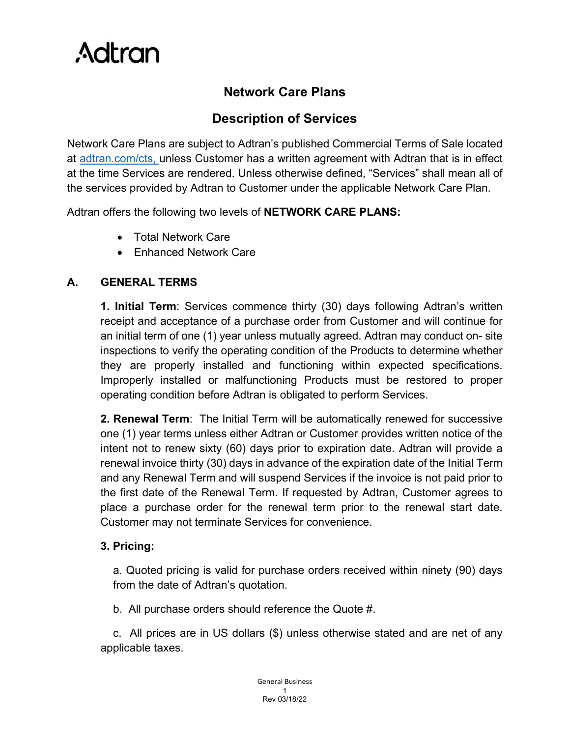

## **Network Care Plans**

## **Description of Services**

Network Care Plans are subject to Adtran's published Commercial Terms of Sale located at [adtran.com/cts, u](http://www.adtran.com/cts)nless Customer has a written agreement with Adtran that is in effect at the time Services are rendered. Unless otherwise defined, "Services" shall mean all of the services provided by Adtran to Customer under the applicable Network Care Plan.

Adtran offers the following two levels of **NETWORK CARE PLANS:**

- Total Network Care
- Enhanced Network Care

### **A. GENERAL TERMS**

**1. Initial Term**: Services commence thirty (30) days following Adtran's written receipt and acceptance of a purchase order from Customer and will continue for an initial term of one (1) year unless mutually agreed. Adtran may conduct on- site inspections to verify the operating condition of the Products to determine whether they are properly installed and functioning within expected specifications. Improperly installed or malfunctioning Products must be restored to proper operating condition before Adtran is obligated to perform Services.

**2. Renewal Term**: The Initial Term will be automatically renewed for successive one (1) year terms unless either Adtran or Customer provides written notice of the intent not to renew sixty (60) days prior to expiration date. Adtran will provide a renewal invoice thirty (30) days in advance of the expiration date of the Initial Term and any Renewal Term and will suspend Services if the invoice is not paid prior to the first date of the Renewal Term. If requested by Adtran, Customer agrees to place a purchase order for the renewal term prior to the renewal start date. Customer may not terminate Services for convenience.

### **3. Pricing:**

a. Quoted pricing is valid for purchase orders received within ninety (90) days from the date of Adtran's quotation.

b. All purchase orders should reference the Quote #.

c. All prices are in US dollars (\$) unless otherwise stated and are net of any applicable taxes.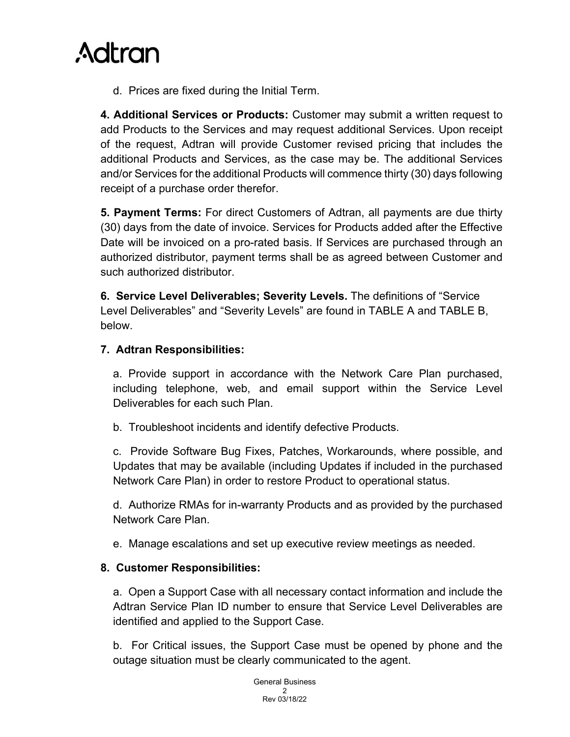

d. Prices are fixed during the Initial Term.

**4. Additional Services or Products:** Customer may submit a written request to add Products to the Services and may request additional Services. Upon receipt of the request, Adtran will provide Customer revised pricing that includes the additional Products and Services, as the case may be. The additional Services and/or Services for the additional Products will commence thirty (30) days following receipt of a purchase order therefor.

**5. Payment Terms:** For direct Customers of Adtran, all payments are due thirty (30) days from the date of invoice. Services for Products added after the Effective Date will be invoiced on a pro-rated basis. If Services are purchased through an authorized distributor, payment terms shall be as agreed between Customer and such authorized distributor.

**6. Service Level Deliverables; Severity Levels.** The definitions of "Service Level Deliverables" and "Severity Levels" are found in TABLE A and TABLE B, below.

#### **7. Adtran Responsibilities:**

a. Provide support in accordance with the Network Care Plan purchased, including telephone, web, and email support within the Service Level Deliverables for each such Plan.

b. Troubleshoot incidents and identify defective Products.

c. Provide Software Bug Fixes, Patches, Workarounds, where possible, and Updates that may be available (including Updates if included in the purchased Network Care Plan) in order to restore Product to operational status.

d. Authorize RMAs for in-warranty Products and as provided by the purchased Network Care Plan.

e. Manage escalations and set up executive review meetings as needed.

#### **8. Customer Responsibilities:**

a. Open a Support Case with all necessary contact information and include the Adtran Service Plan ID number to ensure that Service Level Deliverables are identified and applied to the Support Case.

b. For Critical issues, the Support Case must be opened by phone and the outage situation must be clearly communicated to the agent.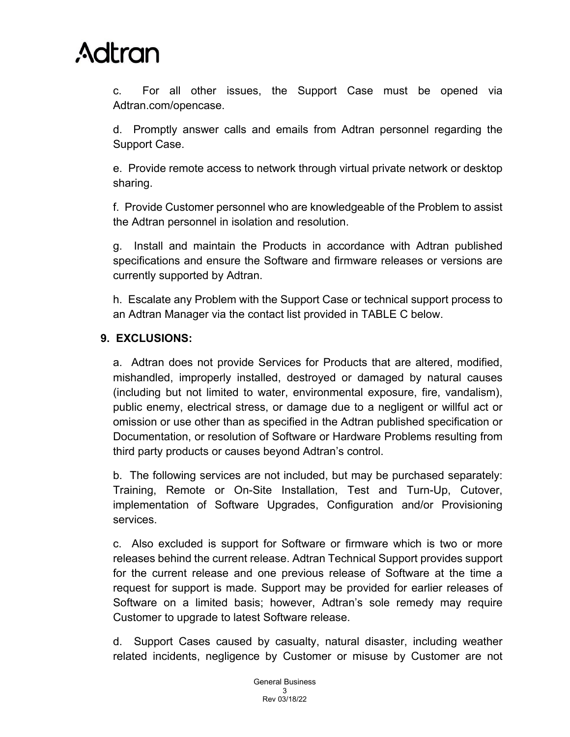c. For all other issues, the Support Case must be opened via [Adtran.com/opencase.](http://www.adtran.com/opencase)

d. Promptly answer calls and emails from Adtran personnel regarding the Support Case.

e. Provide remote access to network through virtual private network or desktop sharing.

f. Provide Customer personnel who are knowledgeable of the Problem to assist the Adtran personnel in isolation and resolution.

g. Install and maintain the Products in accordance with Adtran published specifications and ensure the Software and firmware releases or versions are currently supported by Adtran.

h. Escalate any Problem with the Support Case or technical support process to an Adtran Manager via the contact list provided in TABLE C below.

### **9. EXCLUSIONS:**

a. Adtran does not provide Services for Products that are altered, modified, mishandled, improperly installed, destroyed or damaged by natural causes (including but not limited to water, environmental exposure, fire, vandalism), public enemy, electrical stress, or damage due to a negligent or willful act or omission or use other than as specified in the Adtran published specification or Documentation, or resolution of Software or Hardware Problems resulting from third party products or causes beyond Adtran's control.

b. The following services are not included, but may be purchased separately: Training, Remote or On-Site Installation, Test and Turn-Up, Cutover, implementation of Software Upgrades, Configuration and/or Provisioning services.

c. Also excluded is support for Software or firmware which is two or more releases behind the current release. Adtran Technical Support provides support for the current release and one previous release of Software at the time a request for support is made. Support may be provided for earlier releases of Software on a limited basis; however, Adtran's sole remedy may require Customer to upgrade to latest Software release.

d. Support Cases caused by casualty, natural disaster, including weather related incidents, negligence by Customer or misuse by Customer are not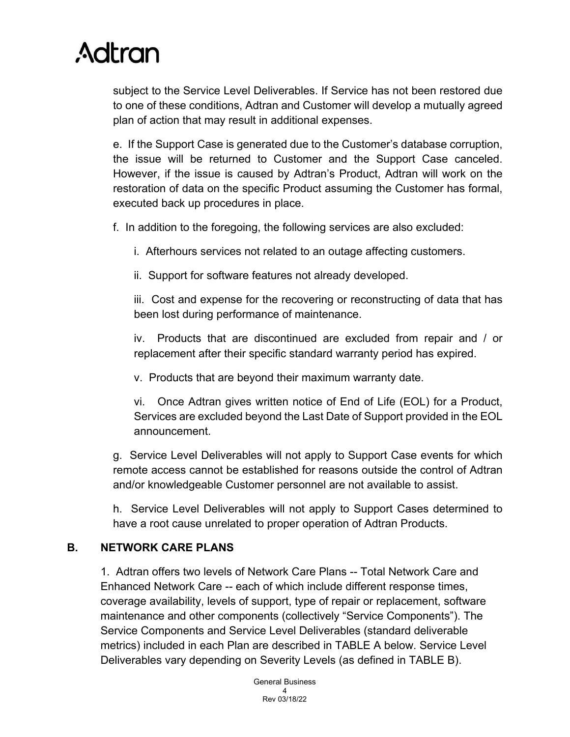subject to the Service Level Deliverables. If Service has not been restored due to one of these conditions, Adtran and Customer will develop a mutually agreed plan of action that may result in additional expenses.

e. If the Support Case is generated due to the Customer's database corruption, the issue will be returned to Customer and the Support Case canceled. However, if the issue is caused by Adtran's Product, Adtran will work on the restoration of data on the specific Product assuming the Customer has formal, executed back up procedures in place.

f. In addition to the foregoing, the following services are also excluded:

- i. Afterhours services not related to an outage affecting customers.
- ii. Support for software features not already developed.

iii. Cost and expense for the recovering or reconstructing of data that has been lost during performance of maintenance.

iv. Products that are discontinued are excluded from repair and / or replacement after their specific standard warranty period has expired.

v. Products that are beyond their maximum warranty date.

vi. Once Adtran gives written notice of End of Life (EOL) for a Product, Services are excluded beyond the Last Date of Support provided in the EOL announcement.

g. Service Level Deliverables will not apply to Support Case events for which remote access cannot be established for reasons outside the control of Adtran and/or knowledgeable Customer personnel are not available to assist.

h. Service Level Deliverables will not apply to Support Cases determined to have a root cause unrelated to proper operation of Adtran Products.

### **B. NETWORK CARE PLANS**

1. Adtran offers two levels of Network Care Plans -- Total Network Care and Enhanced Network Care -- each of which include different response times, coverage availability, levels of support, type of repair or replacement, software maintenance and other components (collectively "Service Components"). The Service Components and Service Level Deliverables (standard deliverable metrics) included in each Plan are described in TABLE A below. Service Level Deliverables vary depending on Severity Levels (as defined in TABLE B).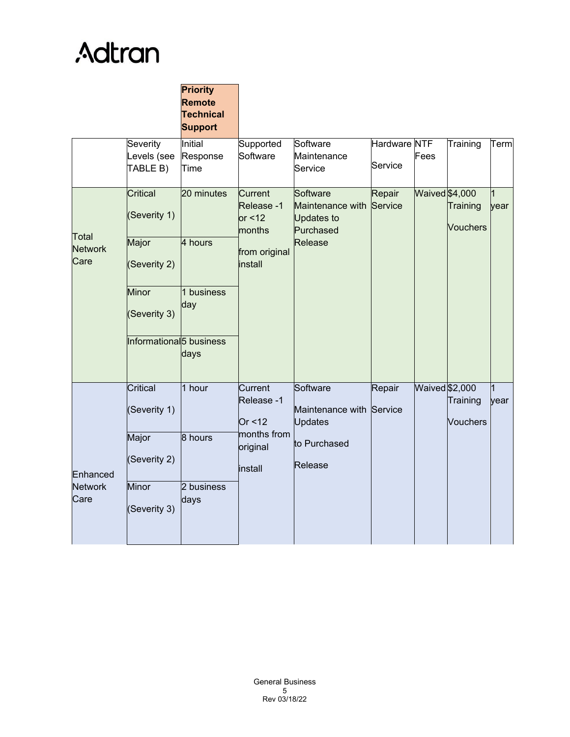|                                    |                                     | <b>Priority</b><br>Remote<br><b>Technical</b><br><b>Support</b> |                                              |                                                                |                         |                       |                             |                        |
|------------------------------------|-------------------------------------|-----------------------------------------------------------------|----------------------------------------------|----------------------------------------------------------------|-------------------------|-----------------------|-----------------------------|------------------------|
|                                    | Severity<br>Levels (see<br>TABLE B) | Initial<br>Response<br>Time                                     | Supported<br>Software                        | Software<br>Maintenance<br>Service                             | Hardware NTF<br>Service | Fees                  | Training                    | Term                   |
| Total<br><b>Network</b><br>Care    | Critical<br>(Severity 1)            | 20 minutes                                                      | Current<br>Release -1<br>or $<$ 12<br>months | Software<br>Maintenance with<br><b>Updates to</b><br>Purchased | Repair<br>Service       | <b>Waived</b> \$4,000 | Training<br><b>Vouchers</b> | 1<br>year              |
|                                    | Major<br>(Severity 2)               | 4 hours                                                         | from original<br>install                     | Release                                                        |                         |                       |                             |                        |
|                                    | Minor<br>(Severity 3)               | 1 business<br>day                                               |                                              |                                                                |                         |                       |                             |                        |
|                                    | Informational <sup>5</sup> business | days                                                            |                                              |                                                                |                         |                       |                             |                        |
| Enhanced<br><b>Network</b><br>Care | Critical<br>(Severity 1)            | 1 hour                                                          | Current<br>Release -1<br>Or < 12             | Software<br>Maintenance with Service<br><b>Updates</b>         | Repair                  | Waived \$2,000        | Training<br><b>Vouchers</b> | $\overline{1}$<br>year |
|                                    | Major<br>(Severity 2)               | 8 hours                                                         | months from<br>original<br>install           | to Purchased<br>Release                                        |                         |                       |                             |                        |
|                                    | Minor<br>(Severity 3)               | 2 business<br>days                                              |                                              |                                                                |                         |                       |                             |                        |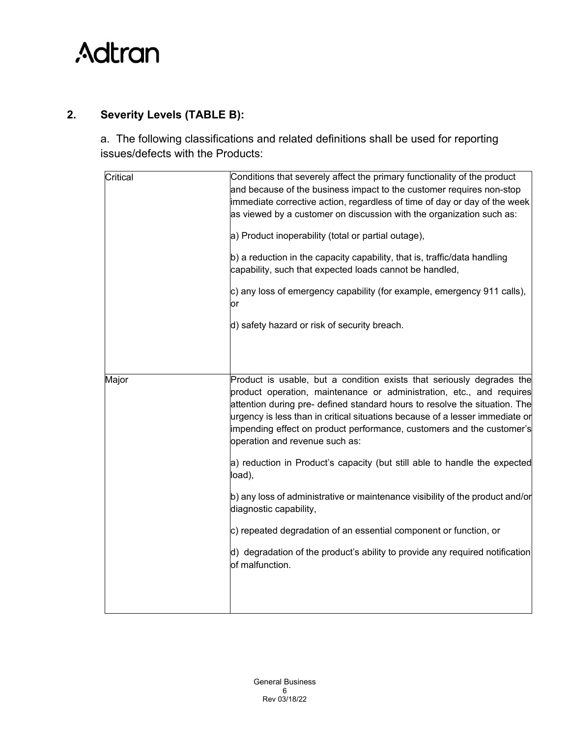

## **2. Severity Levels (TABLE B):**

a. The following classifications and related definitions shall be used for reporting issues/defects with the Products:

| Critical | Conditions that severely affect the primary functionality of the product<br>and because of the business impact to the customer requires non-stop<br>immediate corrective action, regardless of time of day or day of the week<br>as viewed by a customer on discussion with the organization such as:                                                                                                                  |  |  |  |  |
|----------|------------------------------------------------------------------------------------------------------------------------------------------------------------------------------------------------------------------------------------------------------------------------------------------------------------------------------------------------------------------------------------------------------------------------|--|--|--|--|
|          | a) Product inoperability (total or partial outage),                                                                                                                                                                                                                                                                                                                                                                    |  |  |  |  |
|          | b) a reduction in the capacity capability, that is, traffic/data handling<br>capability, such that expected loads cannot be handled,                                                                                                                                                                                                                                                                                   |  |  |  |  |
|          | c) any loss of emergency capability (for example, emergency 911 calls),<br>or                                                                                                                                                                                                                                                                                                                                          |  |  |  |  |
|          | d) safety hazard or risk of security breach.                                                                                                                                                                                                                                                                                                                                                                           |  |  |  |  |
|          |                                                                                                                                                                                                                                                                                                                                                                                                                        |  |  |  |  |
| Major    | Product is usable, but a condition exists that seriously degrades the<br>product operation, maintenance or administration, etc., and requires<br>attention during pre- defined standard hours to resolve the situation. The<br>urgency is less than in critical situations because of a lesser immediate or<br>impending effect on product performance, customers and the customer's<br>operation and revenue such as: |  |  |  |  |
|          | a) reduction in Product's capacity (but still able to handle the expected<br>load),                                                                                                                                                                                                                                                                                                                                    |  |  |  |  |
|          | b) any loss of administrative or maintenance visibility of the product and/or<br>diagnostic capability,                                                                                                                                                                                                                                                                                                                |  |  |  |  |
|          | c) repeated degradation of an essential component or function, or                                                                                                                                                                                                                                                                                                                                                      |  |  |  |  |
|          | d) degradation of the product's ability to provide any required notification<br>of malfunction.                                                                                                                                                                                                                                                                                                                        |  |  |  |  |
|          |                                                                                                                                                                                                                                                                                                                                                                                                                        |  |  |  |  |
|          |                                                                                                                                                                                                                                                                                                                                                                                                                        |  |  |  |  |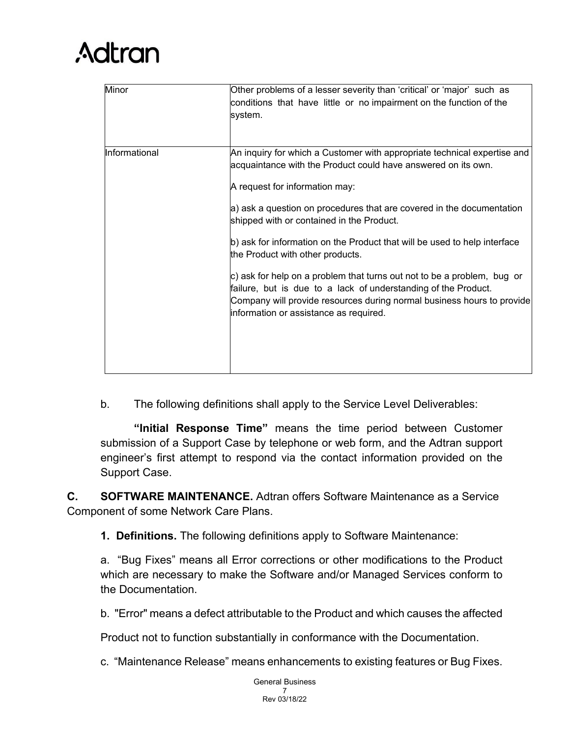| Minor         | Other problems of a lesser severity than 'critical' or 'major' such as<br>conditions that have little or no impairment on the function of the<br>system.                                                                                                                                                                                                                                                                                                                                                                                                                                                                                                                            |
|---------------|-------------------------------------------------------------------------------------------------------------------------------------------------------------------------------------------------------------------------------------------------------------------------------------------------------------------------------------------------------------------------------------------------------------------------------------------------------------------------------------------------------------------------------------------------------------------------------------------------------------------------------------------------------------------------------------|
| Informational | An inquiry for which a Customer with appropriate technical expertise and<br>acquaintance with the Product could have answered on its own.<br>A request for information may:<br>a) ask a question on procedures that are covered in the documentation<br>shipped with or contained in the Product.<br>b) ask for information on the Product that will be used to help interface<br>the Product with other products.<br>c) ask for help on a problem that turns out not to be a problem, bug or<br>failure, but is due to a lack of understanding of the Product.<br>Company will provide resources during normal business hours to provide<br>information or assistance as required. |

b. The following definitions shall apply to the Service Level Deliverables:

**"Initial Response Time"** means the time period between Customer submission of a Support Case by telephone or web form, and the Adtran support engineer's first attempt to respond via the contact information provided on the Support Case.

**C. SOFTWARE MAINTENANCE.** Adtran offers Software Maintenance as a Service Component of some Network Care Plans.

**1. Definitions.** The following definitions apply to Software Maintenance:

a. "Bug Fixes" means all Error corrections or other modifications to the Product which are necessary to make the Software and/or Managed Services conform to the Documentation.

b. "Error" means a defect attributable to the Product and which causes the affected

Product not to function substantially in conformance with the Documentation.

c. "Maintenance Release" means enhancements to existing features or Bug Fixes.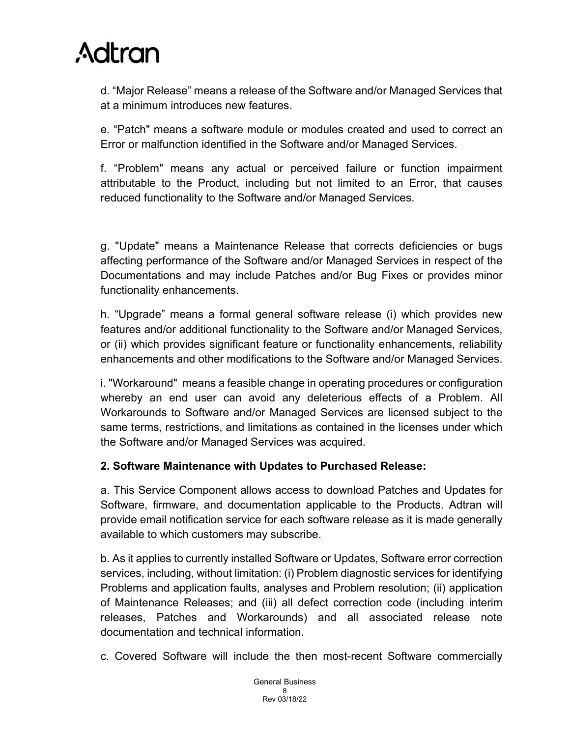d. "Major Release" means a release of the Software and/or Managed Services that at a minimum introduces new features.

e. "Patch" means a software module or modules created and used to correct an Error or malfunction identified in the Software and/or Managed Services.

f. "Problem" means any actual or perceived failure or function impairment attributable to the Product, including but not limited to an Error, that causes reduced functionality to the Software and/or Managed Services.

g. "Update" means a Maintenance Release that corrects deficiencies or bugs affecting performance of the Software and/or Managed Services in respect of the Documentations and may include Patches and/or Bug Fixes or provides minor functionality enhancements.

h. "Upgrade" means a formal general software release (i) which provides new features and/or additional functionality to the Software and/or Managed Services, or (ii) which provides significant feature or functionality enhancements, reliability enhancements and other modifications to the Software and/or Managed Services.

i. "Workaround" means a feasible change in operating procedures or configuration whereby an end user can avoid any deleterious effects of a Problem. All Workarounds to Software and/or Managed Services are licensed subject to the same terms, restrictions, and limitations as contained in the licenses under which the Software and/or Managed Services was acquired.

### **2. Software Maintenance with Updates to Purchased Release:**

a. This Service Component allows access to download Patches and Updates for Software, firmware, and documentation applicable to the Products. Adtran will provide email notification service for each software release as it is made generally available to which customers may subscribe.

b. As it applies to currently installed Software or Updates, Software error correction services, including, without limitation: (i) Problem diagnostic services for identifying Problems and application faults, analyses and Problem resolution; (ii) application of Maintenance Releases; and (iii) all defect correction code (including interim releases, Patches and Workarounds) and all associated release note documentation and technical information.

c. Covered Software will include the then most-recent Software commercially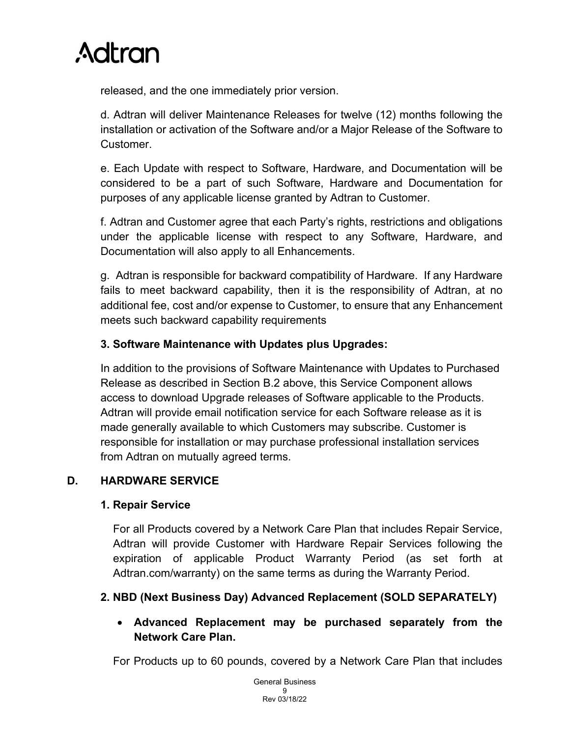released, and the one immediately prior version.

d. Adtran will deliver Maintenance Releases for twelve (12) months following the installation or activation of the Software and/or a Major Release of the Software to Customer.

e. Each Update with respect to Software, Hardware, and Documentation will be considered to be a part of such Software, Hardware and Documentation for purposes of any applicable license granted by Adtran to Customer.

f. Adtran and Customer agree that each Party's rights, restrictions and obligations under the applicable license with respect to any Software, Hardware, and Documentation will also apply to all Enhancements.

g. Adtran is responsible for backward compatibility of Hardware. If any Hardware fails to meet backward capability, then it is the responsibility of Adtran, at no additional fee, cost and/or expense to Customer, to ensure that any Enhancement meets such backward capability requirements

## **3. Software Maintenance with Updates plus Upgrades:**

In addition to the provisions of Software Maintenance with Updates to Purchased Release as described in Section B.2 above, this Service Component allows access to download Upgrade releases of Software applicable to the Products. Adtran will provide email notification service for each Software release as it is made generally available to which Customers may subscribe. Customer is responsible for installation or may purchase professional installation services from Adtran on mutually agreed terms.

## **D. HARDWARE SERVICE**

## **1. Repair Service**

For all Products covered by a Network Care Plan that includes Repair Service, Adtran will provide Customer with Hardware Repair Services following the expiration of applicable Product Warranty Period (as set forth at Adtran.com/warranty) on the same terms as during the Warranty Period.

## **2. NBD (Next Business Day) Advanced Replacement (SOLD SEPARATELY)**

## • **Advanced Replacement may be purchased separately from the Network Care Plan.**

For Products up to 60 pounds, covered by a Network Care Plan that includes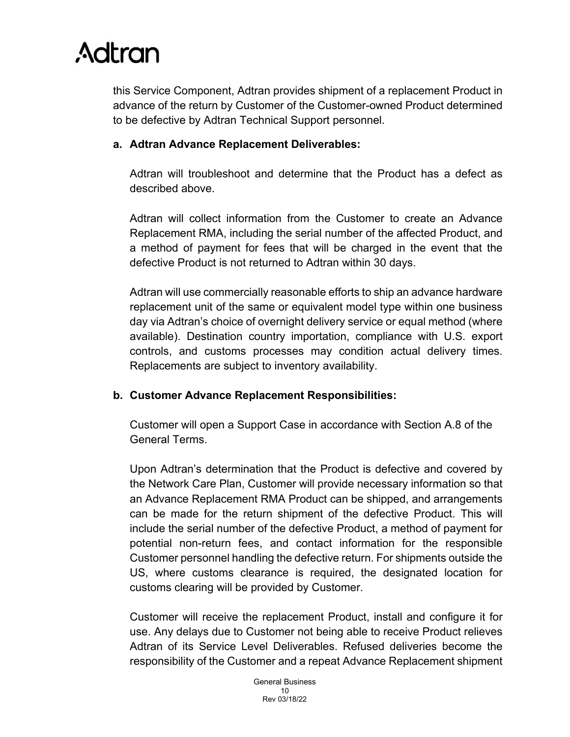this Service Component, Adtran provides shipment of a replacement Product in advance of the return by Customer of the Customer-owned Product determined to be defective by Adtran Technical Support personnel.

### **a. Adtran Advance Replacement Deliverables:**

Adtran will troubleshoot and determine that the Product has a defect as described above.

Adtran will collect information from the Customer to create an Advance Replacement RMA, including the serial number of the affected Product, and a method of payment for fees that will be charged in the event that the defective Product is not returned to Adtran within 30 days.

Adtran will use commercially reasonable efforts to ship an advance hardware replacement unit of the same or equivalent model type within one business day via Adtran's choice of overnight delivery service or equal method (where available). Destination country importation, compliance with U.S. export controls, and customs processes may condition actual delivery times. Replacements are subject to inventory availability.

### **b. Customer Advance Replacement Responsibilities:**

Customer will open a Support Case in accordance with Section A.8 of the General Terms.

Upon Adtran's determination that the Product is defective and covered by the Network Care Plan, Customer will provide necessary information so that an Advance Replacement RMA Product can be shipped, and arrangements can be made for the return shipment of the defective Product. This will include the serial number of the defective Product, a method of payment for potential non-return fees, and contact information for the responsible Customer personnel handling the defective return. For shipments outside the US, where customs clearance is required, the designated location for customs clearing will be provided by Customer.

Customer will receive the replacement Product, install and configure it for use. Any delays due to Customer not being able to receive Product relieves Adtran of its Service Level Deliverables. Refused deliveries become the responsibility of the Customer and a repeat Advance Replacement shipment